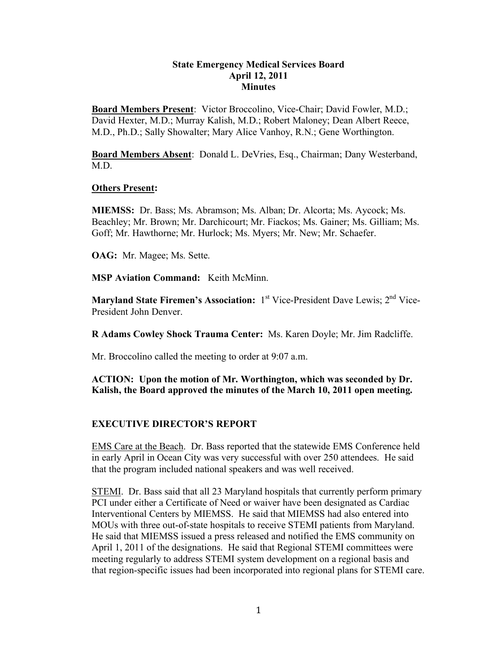### **State Emergency Medical Services Board April 12, 2011 Minutes**

**Board Members Present**: Victor Broccolino, Vice-Chair; David Fowler, M.D.; David Hexter, M.D.; Murray Kalish, M.D.; Robert Maloney; Dean Albert Reece, M.D., Ph.D.; Sally Showalter; Mary Alice Vanhoy, R.N.; Gene Worthington.

**Board Members Absent**: Donald L. DeVries, Esq., Chairman; Dany Westerband, M.D.

#### **Others Present:**

**MIEMSS:** Dr. Bass; Ms. Abramson; Ms. Alban; Dr. Alcorta; Ms. Aycock; Ms. Beachley; Mr. Brown; Mr. Darchicourt; Mr. Fiackos; Ms. Gainer; Ms. Gilliam; Ms. Goff; Mr. Hawthorne; Mr. Hurlock; Ms. Myers; Mr. New; Mr. Schaefer.

**OAG:** Mr. Magee; Ms. Sette.

**MSP Aviation Command:** Keith McMinn.

**Maryland State Firemen's Association:** 1<sup>st</sup> Vice-President Dave Lewis; 2<sup>nd</sup> Vice-President John Denver.

**R Adams Cowley Shock Trauma Center:** Ms. Karen Doyle; Mr. Jim Radcliffe.

Mr. Broccolino called the meeting to order at 9:07 a.m.

# **ACTION: Upon the motion of Mr. Worthington, which was seconded by Dr. Kalish, the Board approved the minutes of the March 10, 2011 open meeting.**

# **EXECUTIVE DIRECTOR'S REPORT**

EMS Care at the Beach. Dr. Bass reported that the statewide EMS Conference held in early April in Ocean City was very successful with over 250 attendees. He said that the program included national speakers and was well received.

STEMI. Dr. Bass said that all 23 Maryland hospitals that currently perform primary PCI under either a Certificate of Need or waiver have been designated as Cardiac Interventional Centers by MIEMSS. He said that MIEMSS had also entered into MOUs with three out-of-state hospitals to receive STEMI patients from Maryland. He said that MIEMSS issued a press released and notified the EMS community on April 1, 2011 of the designations. He said that Regional STEMI committees were meeting regularly to address STEMI system development on a regional basis and that region-specific issues had been incorporated into regional plans for STEMI care.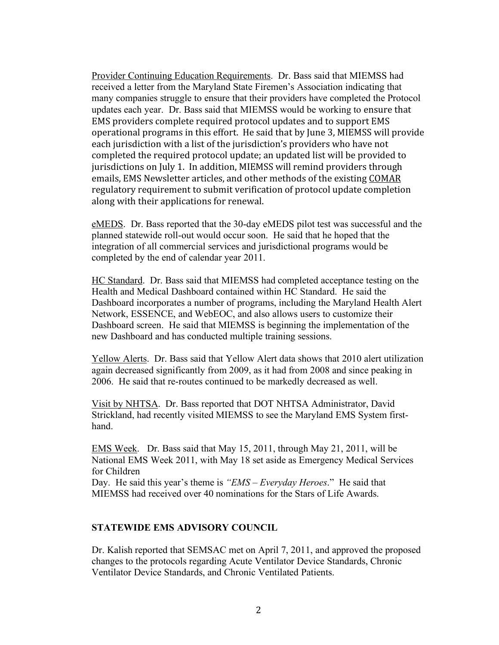Provider Continuing Education Requirements. Dr. Bass said that MIEMSS had received a letter from the Maryland State Firemen's Association indicating that many companies struggle to ensure that their providers have completed the Protocol updates each year. Dr. Bass said that MIEMSS would be working to ensure
that EMS
providers
complete
required
protocol
updates and
to
support EMS operational
programs
in
this
effort.

He
said
that
by
June
3,
MIEMSS
will provide each
jurisdiction
with
a
list
of
the
jurisdiction's
providers
who
have
not completed
the
required
protocol
update;
an
updated list
will
be
provided
to jurisdictions on July 1. In addition, MIEMSS will remind providers through emails,
EMS
Newsletter
articles,
and
other
methods
of
the
existing COMAR regulatory
requirement
to
submit
verification of
protocol update
completion along with
their
applications
for renewal.

eMEDS. Dr. Bass reported that the 30-day eMEDS pilot test was successful and the planned statewide roll-out would occur soon. He said that he hoped that the integration of all commercial services and jurisdictional programs would be completed by the end of calendar year 2011.

HC Standard. Dr. Bass said that MIEMSS had completed acceptance testing on the Health and Medical Dashboard contained within HC Standard. He said the Dashboard incorporates a number of programs, including the Maryland Health Alert Network, ESSENCE, and WebEOC, and also allows users to customize their Dashboard screen. He said that MIEMSS is beginning the implementation of the new Dashboard and has conducted multiple training sessions.

Yellow Alerts. Dr. Bass said that Yellow Alert data shows that 2010 alert utilization again decreased significantly from 2009, as it had from 2008 and since peaking in 2006. He said that re-routes continued to be markedly decreased as well.

Visit by NHTSA. Dr. Bass reported that DOT NHTSA Administrator, David Strickland, had recently visited MIEMSS to see the Maryland EMS System firsthand.

EMS Week. Dr. Bass said that May 15, 2011, through May 21, 2011, will be National EMS Week 2011, with May 18 set aside as Emergency Medical Services for Children

Day. He said this year's theme is *"EMS – Everyday Heroes*." He said that MIEMSS had received over 40 nominations for the Stars of Life Awards.

#### **STATEWIDE EMS ADVISORY COUNCIL**

Dr. Kalish reported that SEMSAC met on April 7, 2011, and approved the proposed changes to the protocols regarding Acute Ventilator Device Standards, Chronic Ventilator Device Standards, and Chronic Ventilated Patients.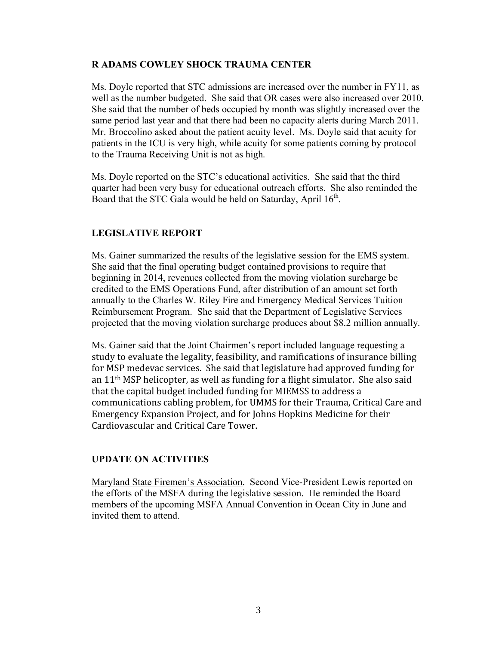## **R ADAMS COWLEY SHOCK TRAUMA CENTER**

Ms. Doyle reported that STC admissions are increased over the number in FY11, as well as the number budgeted. She said that OR cases were also increased over 2010. She said that the number of beds occupied by month was slightly increased over the same period last year and that there had been no capacity alerts during March 2011. Mr. Broccolino asked about the patient acuity level. Ms. Doyle said that acuity for patients in the ICU is very high, while acuity for some patients coming by protocol to the Trauma Receiving Unit is not as high.

Ms. Doyle reported on the STC's educational activities. She said that the third quarter had been very busy for educational outreach efforts. She also reminded the Board that the STC Gala would be held on Saturday, April  $16<sup>th</sup>$ .

# **LEGISLATIVE REPORT**

Ms. Gainer summarized the results of the legislative session for the EMS system. She said that the final operating budget contained provisions to require that beginning in 2014, revenues collected from the moving violation surcharge be credited to the EMS Operations Fund, after distribution of an amount set forth annually to the Charles W. Riley Fire and Emergency Medical Services Tuition Reimbursement Program. She said that the Department of Legislative Services projected that the moving violation surcharge produces about \$8.2 million annually.

Ms. Gainer said that the Joint Chairmen's report included language requesting a study
to
evaluate
the
legality,
feasibility,
and
ramifications
of
insurance
billing for
MSP
medevac
services.

She
said
that
legislature
had
approved
funding
for an
11th
MSP
helicopter,
as
well
as
funding
for
a
flight
simulator.

She
also
said that the capital budget included funding for MIEMSS to address a communications
cabling
problem,
for
UMMS
for
their
Trauma,
Critical Care
and Emergency
Expansion
Project,
and
for
Johns
Hopkins
Medicine
for
their Cardiovascular
and
Critical
Care
Tower.

# **UPDATE ON ACTIVITIES**

Maryland State Firemen's Association. Second Vice-President Lewis reported on the efforts of the MSFA during the legislative session. He reminded the Board members of the upcoming MSFA Annual Convention in Ocean City in June and invited them to attend.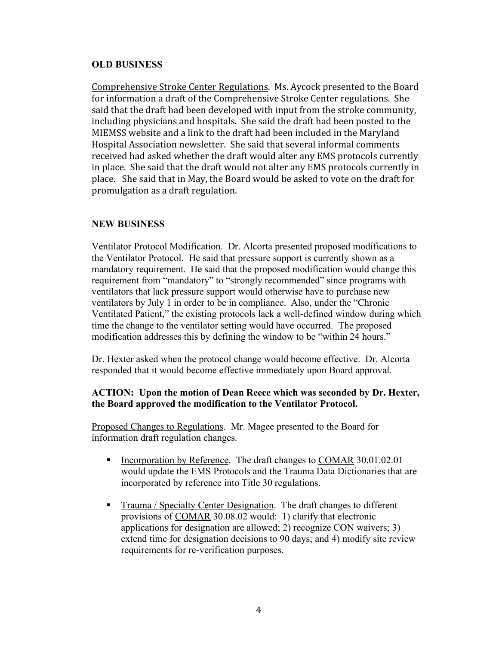## **OLD BUSINESS**

Comprehensive
Stroke
Center
Regulations.

Ms.
Aycock
presented
to
the
Board for information a draft of the Comprehensive Stroke Center regulations. She said
that
the
draft
had
been
developed
with
input
from
the
stroke
community, including
physicians
and
hospitals.

She
said
the
draft
had
been
posted
to
the MIEMSS
website
and
a
link
to
the
draft
had
been
included
in the
Maryland Hospital
Association
newsletter.

She
said
that
several
informal
comments received
had
asked
whether
the
draft
would
alter
any
EMS
protocols
currently in
place.

She
said
that
the
draft
would
not
alter any
EMS
protocols
currently
in place.

She
said
that
in
May,
the
Board
would
be
asked
to
vote
on
the
draft
for promulgation
as
a
draft
regulation.

# **NEW BUSINESS**

Ventilator Protocol Modification. Dr. Alcorta presented proposed modifications to the Ventilator Protocol. He said that pressure support is currently shown as a mandatory requirement. He said that the proposed modification would change this requirement from "mandatory" to "strongly recommended" since programs with ventilators that lack pressure support would otherwise have to purchase new ventilators by July 1 in order to be in compliance. Also, under the "Chronic Ventilated Patient," the existing protocols lack a well-defined window during which time the change to the ventilator setting would have occurred. The proposed modification addresses this by defining the window to be "within 24 hours."

Dr. Hexter asked when the protocol change would become effective. Dr. Alcorta responded that it would become effective immediately upon Board approval.

## **ACTION: Upon the motion of Dean Reece which was seconded by Dr. Hexter, the Board approved the modification to the Ventilator Protocol.**

Proposed Changes to Regulations. Mr. Magee presented to the Board for information draft regulation changes.

- Incorporation by Reference. The draft changes to COMAR 30.01.02.01 would update the EMS Protocols and the Trauma Data Dictionaries that are incorporated by reference into Title 30 regulations.
- Trauma / Specialty Center Designation. The draft changes to different provisions of COMAR 30.08.02 would: 1) clarify that electronic applications for designation are allowed; 2) recognize CON waivers; 3) extend time for designation decisions to 90 days; and 4) modify site review requirements for re-verification purposes.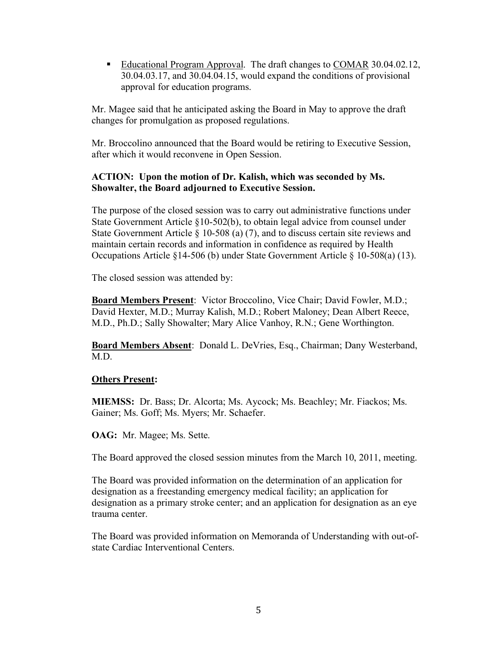Educational Program Approval. The draft changes to COMAR 30.04.02.12, 30.04.03.17, and 30.04.04.15, would expand the conditions of provisional approval for education programs.

Mr. Magee said that he anticipated asking the Board in May to approve the draft changes for promulgation as proposed regulations.

Mr. Broccolino announced that the Board would be retiring to Executive Session, after which it would reconvene in Open Session.

## **ACTION: Upon the motion of Dr. Kalish, which was seconded by Ms. Showalter, the Board adjourned to Executive Session.**

The purpose of the closed session was to carry out administrative functions under State Government Article §10-502(b), to obtain legal advice from counsel under State Government Article § 10-508 (a) (7), and to discuss certain site reviews and maintain certain records and information in confidence as required by Health Occupations Article §14-506 (b) under State Government Article § 10-508(a) (13).

The closed session was attended by:

**Board Members Present**: Victor Broccolino, Vice Chair; David Fowler, M.D.; David Hexter, M.D.; Murray Kalish, M.D.; Robert Maloney; Dean Albert Reece, M.D., Ph.D.; Sally Showalter; Mary Alice Vanhoy, R.N.; Gene Worthington.

**Board Members Absent**: Donald L. DeVries, Esq., Chairman; Dany Westerband, M.D.

# **Others Present:**

**MIEMSS:** Dr. Bass; Dr. Alcorta; Ms. Aycock; Ms. Beachley; Mr. Fiackos; Ms. Gainer; Ms. Goff; Ms. Myers; Mr. Schaefer.

**OAG:** Mr. Magee; Ms. Sette.

The Board approved the closed session minutes from the March 10, 2011, meeting.

The Board was provided information on the determination of an application for designation as a freestanding emergency medical facility; an application for designation as a primary stroke center; and an application for designation as an eye trauma center.

The Board was provided information on Memoranda of Understanding with out-ofstate Cardiac Interventional Centers.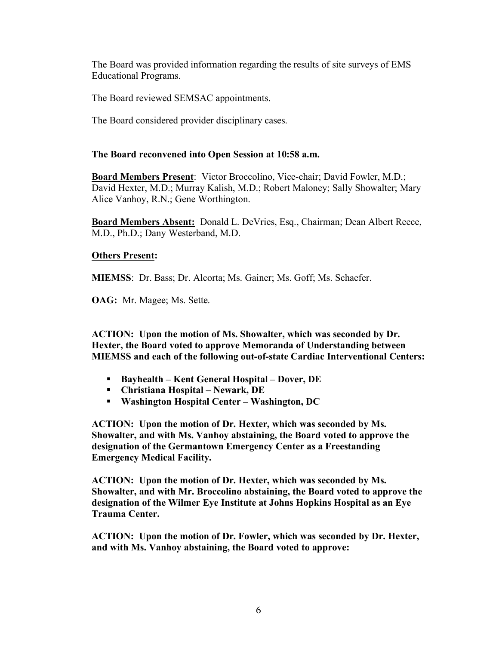The Board was provided information regarding the results of site surveys of EMS Educational Programs.

The Board reviewed SEMSAC appointments.

The Board considered provider disciplinary cases.

## **The Board reconvened into Open Session at 10:58 a.m.**

**Board Members Present**: Victor Broccolino, Vice-chair; David Fowler, M.D.; David Hexter, M.D.; Murray Kalish, M.D.; Robert Maloney; Sally Showalter; Mary Alice Vanhoy, R.N.; Gene Worthington.

**Board Members Absent:** Donald L. DeVries, Esq., Chairman; Dean Albert Reece, M.D., Ph.D.; Dany Westerband, M.D.

## **Others Present:**

**MIEMSS**: Dr. Bass; Dr. Alcorta; Ms. Gainer; Ms. Goff; Ms. Schaefer.

**OAG:** Mr. Magee; Ms. Sette.

**ACTION: Upon the motion of Ms. Showalter, which was seconded by Dr. Hexter, the Board voted to approve Memoranda of Understanding between MIEMSS and each of the following out-of-state Cardiac Interventional Centers:**

- **Bayhealth – Kent General Hospital – Dover, DE**
- **Christiana Hospital – Newark, DE**
- **Washington Hospital Center – Washington, DC**

**ACTION: Upon the motion of Dr. Hexter, which was seconded by Ms. Showalter, and with Ms. Vanhoy abstaining, the Board voted to approve the designation of the Germantown Emergency Center as a Freestanding Emergency Medical Facility.**

**ACTION: Upon the motion of Dr. Hexter, which was seconded by Ms. Showalter, and with Mr. Broccolino abstaining, the Board voted to approve the designation of the Wilmer Eye Institute at Johns Hopkins Hospital as an Eye Trauma Center.**

**ACTION: Upon the motion of Dr. Fowler, which was seconded by Dr. Hexter, and with Ms. Vanhoy abstaining, the Board voted to approve:**